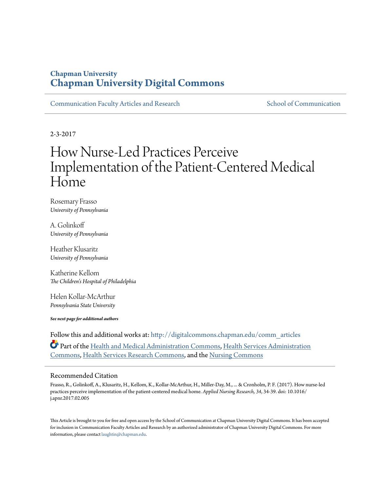## **Chapman University [Chapman University Digital Commons](http://digitalcommons.chapman.edu?utm_source=digitalcommons.chapman.edu%2Fcomm_articles%2F32&utm_medium=PDF&utm_campaign=PDFCoverPages)**

[Communication Faculty Articles and Research](http://digitalcommons.chapman.edu/comm_articles?utm_source=digitalcommons.chapman.edu%2Fcomm_articles%2F32&utm_medium=PDF&utm_campaign=PDFCoverPages) [School of Communication](http://digitalcommons.chapman.edu/communication?utm_source=digitalcommons.chapman.edu%2Fcomm_articles%2F32&utm_medium=PDF&utm_campaign=PDFCoverPages)

2-3-2017

# How Nurse-Led Practices Perceive Implementation of the Patient-Centered Medical Home

Rosemary Frasso *University of Pennsylvania*

A. Golinkoff *University of Pennsylvania*

Heather Klusaritz *University of Pennsylvania*

Katherine Kellom *The Children's Hospital of Philadelphia*

Helen Kollar-McArthur *Pennsylvania State University*

*See next page for additional authors*

Follow this and additional works at: [http://digitalcommons.chapman.edu/comm\\_articles](http://digitalcommons.chapman.edu/comm_articles?utm_source=digitalcommons.chapman.edu%2Fcomm_articles%2F32&utm_medium=PDF&utm_campaign=PDFCoverPages) Part of the [Health and Medical Administration Commons](http://network.bepress.com/hgg/discipline/663?utm_source=digitalcommons.chapman.edu%2Fcomm_articles%2F32&utm_medium=PDF&utm_campaign=PDFCoverPages), [Health Services Administration](http://network.bepress.com/hgg/discipline/747?utm_source=digitalcommons.chapman.edu%2Fcomm_articles%2F32&utm_medium=PDF&utm_campaign=PDFCoverPages) [Commons,](http://network.bepress.com/hgg/discipline/747?utm_source=digitalcommons.chapman.edu%2Fcomm_articles%2F32&utm_medium=PDF&utm_campaign=PDFCoverPages) [Health Services Research Commons,](http://network.bepress.com/hgg/discipline/816?utm_source=digitalcommons.chapman.edu%2Fcomm_articles%2F32&utm_medium=PDF&utm_campaign=PDFCoverPages) and the [Nursing Commons](http://network.bepress.com/hgg/discipline/718?utm_source=digitalcommons.chapman.edu%2Fcomm_articles%2F32&utm_medium=PDF&utm_campaign=PDFCoverPages)

#### Recommended Citation

Frasso, R., Golinkoff, A., Klusaritz, H., Kellom, K., Kollar-McArthur, H., Miller-Day, M., ... & Cronholm, P. F. (2017). How nurse-led practices perceive implementation of the patient-centered medical home. *Applied Nursing Research, 34*, 34-39. doi: 10.1016/ j.apnr.2017.02.005

This Article is brought to you for free and open access by the School of Communication at Chapman University Digital Commons. It has been accepted for inclusion in Communication Faculty Articles and Research by an authorized administrator of Chapman University Digital Commons. For more information, please contact [laughtin@chapman.edu](mailto:laughtin@chapman.edu).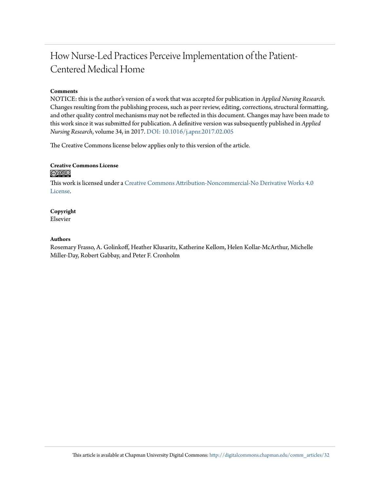## How Nurse-Led Practices Perceive Implementation of the Patient-Centered Medical Home

#### **Comments**

NOTICE: this is the author's version of a work that was accepted for publication in *Applied Nursing Research*. Changes resulting from the publishing process, such as peer review, editing, corrections, structural formatting, and other quality control mechanisms may not be reflected in this document. Changes may have been made to this work since it was submitted for publication. A definitive version was subsequently published in *Applied Nursing Research*, volume 34, in 2017. [DOI: 10.1016/j.apnr.2017.02.005](http://dx.doi.org/10.1016/j.apnr.2017.02.005)

The Creative Commons license below applies only to this version of the article.

#### **Creative Commons License**  $\bigcirc$   $\circ$

This work is licensed under a [Creative Commons Attribution-Noncommercial-No Derivative Works 4.0](http://creativecommons.org/licenses/by-nc-nd/4.0/) [License.](http://creativecommons.org/licenses/by-nc-nd/4.0/)

## **Copyright**

Elsevier

#### **Authors**

Rosemary Frasso, A. Golinkoff, Heather Klusaritz, Katherine Kellom, Helen Kollar-McArthur, Michelle Miller-Day, Robert Gabbay, and Peter F. Cronholm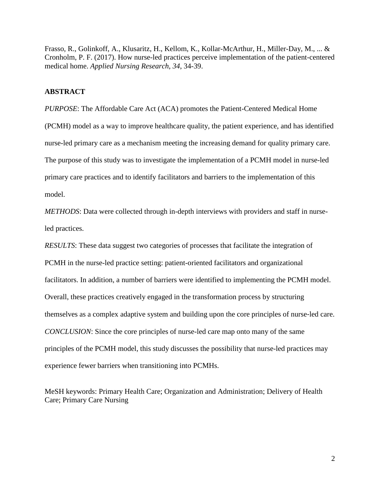Frasso, R., Golinkoff, A., Klusaritz, H., Kellom, K., Kollar-McArthur, H., Miller-Day, M., ... & Cronholm, P. F. (2017). How nurse-led practices perceive implementation of the patient-centered medical home. *Applied Nursing Research*, *34*, 34-39.

#### **ABSTRACT**

*PURPOSE*: The Affordable Care Act (ACA) promotes the Patient-Centered Medical Home (PCMH) model as a way to improve healthcare quality, the patient experience, and has identified nurse-led primary care as a mechanism meeting the increasing demand for quality primary care. The purpose of this study was to investigate the implementation of a PCMH model in nurse-led primary care practices and to identify facilitators and barriers to the implementation of this model.

*METHODS*: Data were collected through in-depth interviews with providers and staff in nurseled practices.

*RESULTS*: These data suggest two categories of processes that facilitate the integration of PCMH in the nurse-led practice setting: patient-oriented facilitators and organizational facilitators. In addition, a number of barriers were identified to implementing the PCMH model. Overall, these practices creatively engaged in the transformation process by structuring themselves as a complex adaptive system and building upon the core principles of nurse‐led care. *CONCLUSION*: Since the core principles of nurse-led care map onto many of the same principles of the PCMH model, this study discusses the possibility that nurse-led practices may experience fewer barriers when transitioning into PCMHs.

MeSH keywords: Primary Health Care; Organization and Administration; Delivery of Health Care; Primary Care Nursing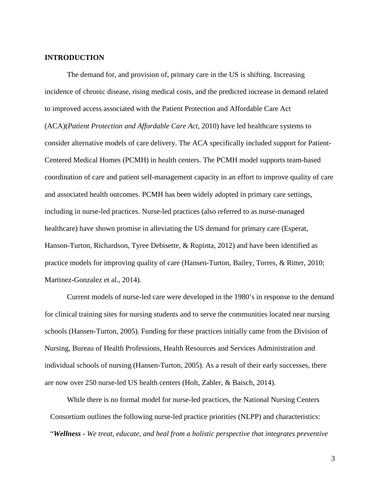#### **INTRODUCTION**

The demand for, and provision of, primary care in the US is shifting. Increasing incidence of chronic disease, rising medical costs, and the predicted increase in demand related to improved access associated with the Patient Protection and Affordable Care Act (ACA)(*Patient Protection and Affordable Care Act*, 2010) have led healthcare systems to consider alternative models of care delivery. The ACA specifically included support for Patient-Centered Medical Homes (PCMH) in health centers. The PCMH model supports team-based coordination of care and patient self-management capacity in an effort to improve quality of care and associated health outcomes. PCMH has been widely adopted in primary care settings, including in nurse-led practices. Nurse-led practices (also referred to as nurse-managed healthcare) have shown promise in alleviating the US demand for primary care (Esperat, Hanson-Turton, Richardson, Tyree Debisette, & Rupinta, 2012) and have been identified as practice models for improving quality of care (Hansen-Turton, Bailey, Torres, & Ritter, 2010; Martinez-Gonzalez et al., 2014).

Current models of nurse-led care were developed in the 1980's in response to the demand for clinical training sites for nursing students and to serve the communities located near nursing schools (Hansen-Turton, 2005). Funding for these practices initially came from the Division of Nursing, Bureau of Health Professions, Health Resources and Services Administration and individual schools of nursing (Hansen-Turton, 2005). As a result of their early successes, there are now over 250 nurse-led US health centers (Holt, Zabler, & Baisch, 2014).

While there is no formal model for nurse-led practices, the National Nursing Centers Consortium outlines the following nurse-led practice priorities (NLPP) and characteristics: "*Wellness - We treat, educate, and heal from a holistic perspective that integrates preventive*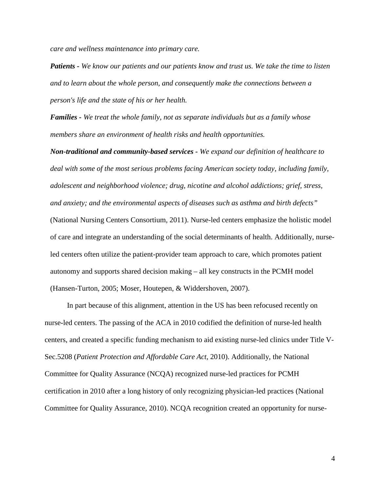*care and wellness maintenance into primary care.* 

*Patients - We know our patients and our patients know and trust us. We take the time to listen and to learn about the whole person, and consequently make the connections between a person's life and the state of his or her health.* 

*Families - We treat the whole family, not as separate individuals but as a family whose members share an environment of health risks and health opportunities.* 

*Non-traditional and community-based services - We expand our definition of healthcare to deal with some of the most serious problems facing American society today, including family, adolescent and neighborhood violence; drug, nicotine and alcohol addictions; grief, stress, and anxiety; and the environmental aspects of diseases such as asthma and birth defects"* (National Nursing Centers Consortium, 2011). Nurse-led centers emphasize the holistic model of care and integrate an understanding of the social determinants of health. Additionally, nurseled centers often utilize the patient-provider team approach to care, which promotes patient autonomy and supports shared decision making – all key constructs in the PCMH model (Hansen-Turton, 2005; Moser, Houtepen, & Widdershoven, 2007).

In part because of this alignment, attention in the US has been refocused recently on nurse-led centers. The passing of the ACA in 2010 codified the definition of nurse-led health centers, and created a specific funding mechanism to aid existing nurse-led clinics under Title V-Sec.5208 (*Patient Protection and Affordable Care Act*, 2010). Additionally, the National Committee for Quality Assurance (NCQA) recognized nurse-led practices for PCMH certification in 2010 after a long history of only recognizing physician-led practices (National Committee for Quality Assurance, 2010). NCQA recognition created an opportunity for nurse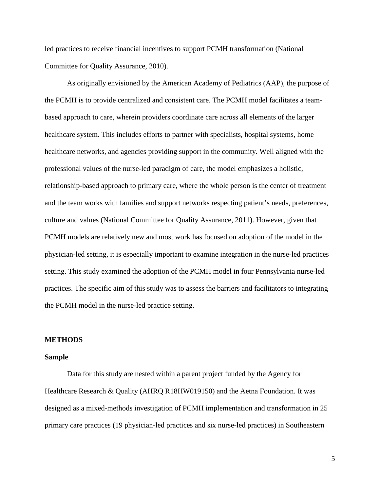led practices to receive financial incentives to support PCMH transformation (National Committee for Quality Assurance, 2010).

As originally envisioned by the American Academy of Pediatrics (AAP), the purpose of the PCMH is to provide centralized and consistent care. The PCMH model facilitates a teambased approach to care, wherein providers coordinate care across all elements of the larger healthcare system. This includes efforts to partner with specialists, hospital systems, home healthcare networks, and agencies providing support in the community. Well aligned with the professional values of the nurse-led paradigm of care, the model emphasizes a holistic, relationship-based approach to primary care, where the whole person is the center of treatment and the team works with families and support networks respecting patient's needs, preferences, culture and values (National Committee for Quality Assurance, 2011). However, given that PCMH models are relatively new and most work has focused on adoption of the model in the physician-led setting, it is especially important to examine integration in the nurse-led practices setting. This study examined the adoption of the PCMH model in four Pennsylvania nurse-led practices. The specific aim of this study was to assess the barriers and facilitators to integrating the PCMH model in the nurse-led practice setting.

#### **METHODS**

#### **Sample**

Data for this study are nested within a parent project funded by the Agency for Healthcare Research & Quality (AHRQ R18HW019150) and the Aetna Foundation. It was designed as a mixed-methods investigation of PCMH implementation and transformation in 25 primary care practices (19 physician-led practices and six nurse-led practices) in Southeastern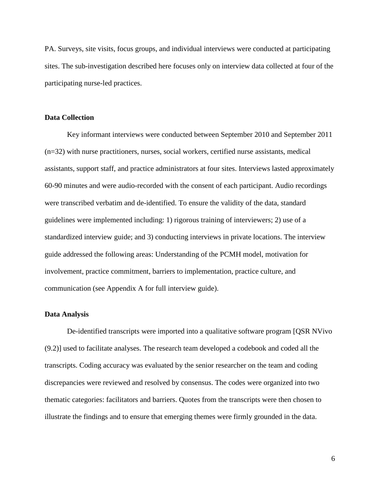PA. Surveys, site visits, focus groups, and individual interviews were conducted at participating sites. The sub-investigation described here focuses only on interview data collected at four of the participating nurse-led practices.

#### **Data Collection**

Key informant interviews were conducted between September 2010 and September 2011 (n=32) with nurse practitioners, nurses, social workers, certified nurse assistants, medical assistants, support staff, and practice administrators at four sites. Interviews lasted approximately 60-90 minutes and were audio-recorded with the consent of each participant. Audio recordings were transcribed verbatim and de-identified. To ensure the validity of the data, standard guidelines were implemented including: 1) rigorous training of interviewers; 2) use of a standardized interview guide; and 3) conducting interviews in private locations. The interview guide addressed the following areas: Understanding of the PCMH model, motivation for involvement, practice commitment, barriers to implementation, practice culture, and communication (see Appendix A for full interview guide).

#### **Data Analysis**

De-identified transcripts were imported into a qualitative software program [QSR NVivo (9.2)] used to facilitate analyses. The research team developed a codebook and coded all the transcripts. Coding accuracy was evaluated by the senior researcher on the team and coding discrepancies were reviewed and resolved by consensus. The codes were organized into two thematic categories: facilitators and barriers. Quotes from the transcripts were then chosen to illustrate the findings and to ensure that emerging themes were firmly grounded in the data.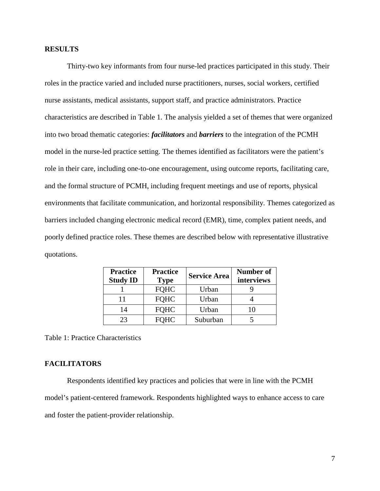#### **RESULTS**

Thirty-two key informants from four nurse-led practices participated in this study. Their roles in the practice varied and included nurse practitioners, nurses, social workers, certified nurse assistants, medical assistants, support staff, and practice administrators. Practice characteristics are described in Table 1. The analysis yielded a set of themes that were organized into two broad thematic categories: *facilitators* and *barriers* to the integration of the PCMH model in the nurse-led practice setting. The themes identified as facilitators were the patient's role in their care, including one-to-one encouragement, using outcome reports, facilitating care, and the formal structure of PCMH, including frequent meetings and use of reports, physical environments that facilitate communication, and horizontal responsibility. Themes categorized as barriers included changing electronic medical record (EMR), time, complex patient needs, and poorly defined practice roles. These themes are described below with representative illustrative quotations.

| <b>Practice</b><br><b>Study ID</b> | <b>Practice</b><br><b>Type</b> | <b>Service Area</b> | <b>Number of</b><br>interviews |
|------------------------------------|--------------------------------|---------------------|--------------------------------|
|                                    | <b>FQHC</b>                    | Urban               |                                |
| 11                                 | <b>FQHC</b>                    | Urban               |                                |
| 14                                 | <b>FQHC</b>                    | Urban               | 10                             |
| 23                                 | <b>FOHC</b>                    | Suburban            |                                |

Table 1: Practice Characteristics

#### **FACILITATORS**

Respondents identified key practices and policies that were in line with the PCMH model's patient-centered framework. Respondents highlighted ways to enhance access to care and foster the patient-provider relationship.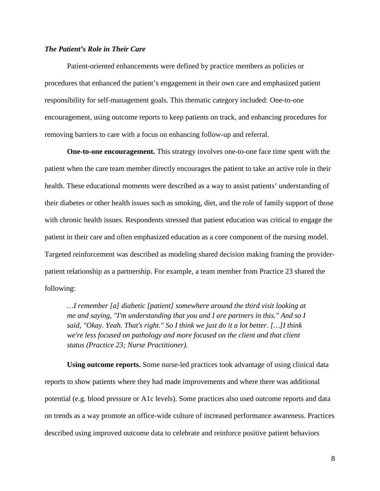#### *The Patient's Role in Their Care*

Patient-oriented enhancements were defined by practice members as policies or procedures that enhanced the patient's engagement in their own care and emphasized patient responsibility for self-management goals. This thematic category included: One-to-one encouragement, using outcome reports to keep patients on track, and enhancing procedures for removing barriers to care with a focus on enhancing follow-up and referral.

**One-to-one encouragement.** This strategy involves one-to-one face time spent with the patient when the care team member directly encourages the patient to take an active role in their health. These educational moments were described as a way to assist patients' understanding of their diabetes or other health issues such as smoking, diet, and the role of family support of those with chronic health issues. Respondents stressed that patient education was critical to engage the patient in their care and often emphasized education as a core component of the nursing model. Targeted reinforcement was described as modeling shared decision making framing the providerpatient relationship as a partnership. For example, a team member from Practice 23 shared the following:

*…I remember [a] diabetic [patient] somewhere around the third visit looking at me and saying, "I'm understanding that you and I are partners in this." And so I said, "Okay. Yeah. That's right." So I think we just do it a lot better. […]I think we're less focused on pathology and more focused on the client and that client status (Practice 23; Nurse Practitioner).*

**Using outcome reports.** Some nurse-led practices took advantage of using clinical data reports to show patients where they had made improvements and where there was additional potential (e.g. blood pressure or A1c levels). Some practices also used outcome reports and data on trends as a way promote an office-wide culture of increased performance awareness. Practices described using improved outcome data to celebrate and reinforce positive patient behaviors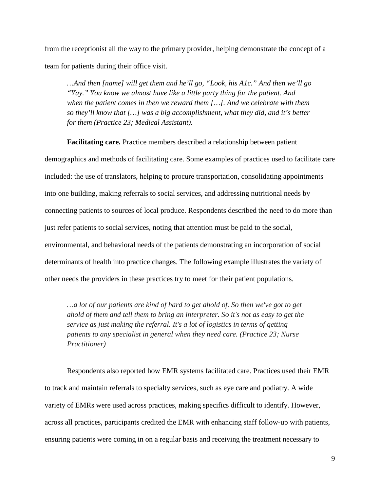from the receptionist all the way to the primary provider, helping demonstrate the concept of a team for patients during their office visit.

*…And then [name] will get them and he'll go, "Look, his A1c." And then we'll go "Yay." You know we almost have like a little party thing for the patient. And when the patient comes in then we reward them […]. And we celebrate with them so they'll know that […] was a big accomplishment, what they did, and it's better for them (Practice 23; Medical Assistant).*

**Facilitating care.** Practice members described a relationship between patient

demographics and methods of facilitating care. Some examples of practices used to facilitate care included: the use of translators, helping to procure transportation, consolidating appointments into one building, making referrals to social services, and addressing nutritional needs by connecting patients to sources of local produce. Respondents described the need to do more than just refer patients to social services, noting that attention must be paid to the social, environmental, and behavioral needs of the patients demonstrating an incorporation of social determinants of health into practice changes. The following example illustrates the variety of other needs the providers in these practices try to meet for their patient populations.

*…a lot of our patients are kind of hard to get ahold of. So then we've got to get ahold of them and tell them to bring an interpreter. So it's not as easy to get the service as just making the referral. It's a lot of logistics in terms of getting patients to any specialist in general when they need care. (Practice 23; Nurse Practitioner)*

Respondents also reported how EMR systems facilitated care. Practices used their EMR to track and maintain referrals to specialty services, such as eye care and podiatry. A wide variety of EMRs were used across practices, making specifics difficult to identify. However, across all practices, participants credited the EMR with enhancing staff follow-up with patients, ensuring patients were coming in on a regular basis and receiving the treatment necessary to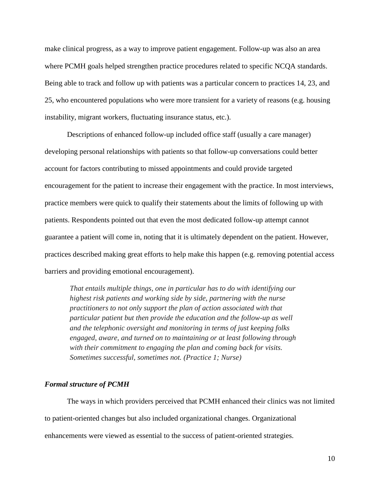make clinical progress, as a way to improve patient engagement. Follow-up was also an area where PCMH goals helped strengthen practice procedures related to specific NCQA standards. Being able to track and follow up with patients was a particular concern to practices 14, 23, and 25, who encountered populations who were more transient for a variety of reasons (e.g. housing instability, migrant workers, fluctuating insurance status, etc.).

Descriptions of enhanced follow-up included office staff (usually a care manager) developing personal relationships with patients so that follow-up conversations could better account for factors contributing to missed appointments and could provide targeted encouragement for the patient to increase their engagement with the practice. In most interviews, practice members were quick to qualify their statements about the limits of following up with patients. Respondents pointed out that even the most dedicated follow-up attempt cannot guarantee a patient will come in, noting that it is ultimately dependent on the patient. However, practices described making great efforts to help make this happen (e.g. removing potential access barriers and providing emotional encouragement).

*That entails multiple things, one in particular has to do with identifying our highest risk patients and working side by side, partnering with the nurse practitioners to not only support the plan of action associated with that particular patient but then provide the education and the follow-up as well and the telephonic oversight and monitoring in terms of just keeping folks engaged, aware, and turned on to maintaining or at least following through with their commitment to engaging the plan and coming back for visits. Sometimes successful, sometimes not. (Practice 1; Nurse)*

#### *Formal structure of PCMH*

The ways in which providers perceived that PCMH enhanced their clinics was not limited to patient-oriented changes but also included organizational changes. Organizational enhancements were viewed as essential to the success of patient-oriented strategies.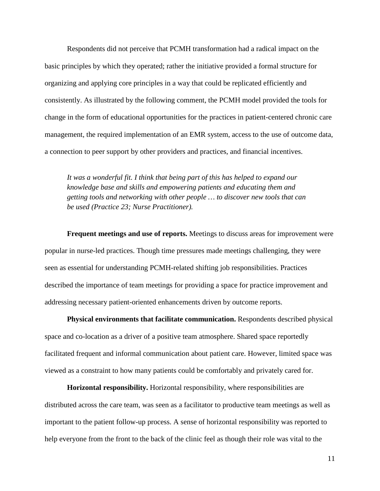Respondents did not perceive that PCMH transformation had a radical impact on the basic principles by which they operated; rather the initiative provided a formal structure for organizing and applying core principles in a way that could be replicated efficiently and consistently. As illustrated by the following comment, the PCMH model provided the tools for change in the form of educational opportunities for the practices in patient-centered chronic care management, the required implementation of an EMR system, access to the use of outcome data, a connection to peer support by other providers and practices, and financial incentives.

*It was a wonderful fit. I think that being part of this has helped to expand our knowledge base and skills and empowering patients and educating them and getting tools and networking with other people … to discover new tools that can be used (Practice 23; Nurse Practitioner).*

**Frequent meetings and use of reports.** Meetings to discuss areas for improvement were popular in nurse-led practices. Though time pressures made meetings challenging, they were seen as essential for understanding PCMH-related shifting job responsibilities. Practices described the importance of team meetings for providing a space for practice improvement and addressing necessary patient-oriented enhancements driven by outcome reports.

**Physical environments that facilitate communication.** Respondents described physical space and co-location as a driver of a positive team atmosphere. Shared space reportedly facilitated frequent and informal communication about patient care. However, limited space was viewed as a constraint to how many patients could be comfortably and privately cared for.

**Horizontal responsibility.** Horizontal responsibility, where responsibilities are distributed across the care team, was seen as a facilitator to productive team meetings as well as important to the patient follow-up process. A sense of horizontal responsibility was reported to help everyone from the front to the back of the clinic feel as though their role was vital to the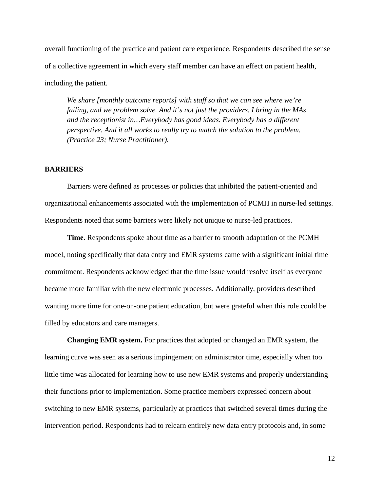overall functioning of the practice and patient care experience. Respondents described the sense of a collective agreement in which every staff member can have an effect on patient health, including the patient.

*We share [monthly outcome reports] with staff so that we can see where we're failing, and we problem solve. And it's not just the providers. I bring in the MAs and the receptionist in…Everybody has good ideas. Everybody has a different perspective. And it all works to really try to match the solution to the problem. (Practice 23; Nurse Practitioner).*

#### **BARRIERS**

Barriers were defined as processes or policies that inhibited the patient-oriented and organizational enhancements associated with the implementation of PCMH in nurse-led settings. Respondents noted that some barriers were likely not unique to nurse-led practices.

**Time.** Respondents spoke about time as a barrier to smooth adaptation of the PCMH model, noting specifically that data entry and EMR systems came with a significant initial time commitment. Respondents acknowledged that the time issue would resolve itself as everyone became more familiar with the new electronic processes. Additionally, providers described wanting more time for one-on-one patient education, but were grateful when this role could be filled by educators and care managers.

**Changing EMR system.** For practices that adopted or changed an EMR system, the learning curve was seen as a serious impingement on administrator time, especially when too little time was allocated for learning how to use new EMR systems and properly understanding their functions prior to implementation. Some practice members expressed concern about switching to new EMR systems, particularly at practices that switched several times during the intervention period. Respondents had to relearn entirely new data entry protocols and, in some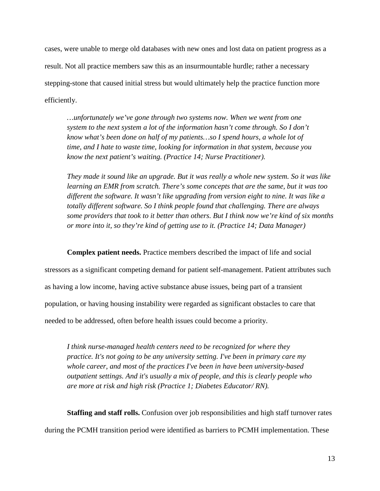cases, were unable to merge old databases with new ones and lost data on patient progress as a result. Not all practice members saw this as an insurmountable hurdle; rather a necessary stepping-stone that caused initial stress but would ultimately help the practice function more efficiently.

*…unfortunately we've gone through two systems now. When we went from one system to the next system a lot of the information hasn't come through. So I don't know what's been done on half of my patients…so I spend hours, a whole lot of time, and I hate to waste time, looking for information in that system, because you know the next patient's waiting. (Practice 14; Nurse Practitioner).*

*They made it sound like an upgrade. But it was really a whole new system. So it was like learning an EMR from scratch. There's some concepts that are the same, but it was too different the software. It wasn't like upgrading from version eight to nine. It was like a totally different software. So I think people found that challenging. There are always some providers that took to it better than others. But I think now we're kind of six months or more into it, so they're kind of getting use to it. (Practice 14; Data Manager)*

**Complex patient needs.** Practice members described the impact of life and social stressors as a significant competing demand for patient self-management. Patient attributes such as having a low income, having active substance abuse issues, being part of a transient population, or having housing instability were regarded as significant obstacles to care that needed to be addressed, often before health issues could become a priority.

*I think nurse-managed health centers need to be recognized for where they practice. It's not going to be any university setting. I've been in primary care my whole career, and most of the practices I've been in have been university-based outpatient settings. And it's usually a mix of people, and this is clearly people who are more at risk and high risk (Practice 1; Diabetes Educator/ RN).*

**Staffing and staff rolls.** Confusion over job responsibilities and high staff turnover rates during the PCMH transition period were identified as barriers to PCMH implementation. These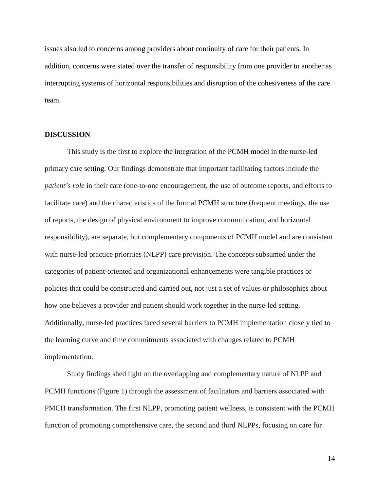issues also led to concerns among providers about continuity of care for their patients. In addition, concerns were stated over the transfer of responsibility from one provider to another as interrupting systems of horizontal responsibilities and disruption of the cohesiveness of the care team.

#### **DISCUSSION**

This study is the first to explore the integration of the PCMH model in the nurse-led primary care setting. Our findings demonstrate that important facilitating factors include the *patient's role* in their care (one-to-one encouragement, the use of outcome reports, and efforts to facilitate care) and the characteristics of the formal PCMH structure (frequent meetings, the use of reports, the design of physical environment to improve communication, and horizontal responsibility), are separate, but complementary components of PCMH model and are consistent with nurse-led practice priorities (NLPP) care provision. The concepts subsumed under the categories of patient-oriented and organizational enhancements were tangible practices or policies that could be constructed and carried out, not just a set of values or philosophies about how one believes a provider and patient should work together in the nurse-led setting. Additionally, nurse-led practices faced several barriers to PCMH implementation closely tied to the learning curve and time commitments associated with changes related to PCMH implementation.

Study findings shed light on the overlapping and complementary nature of NLPP and PCMH functions (Figure 1) through the assessment of facilitators and barriers associated with PMCH transformation. The first NLPP, promoting patient wellness, is consistent with the PCMH function of promoting comprehensive care, the second and third NLPPs, focusing on care for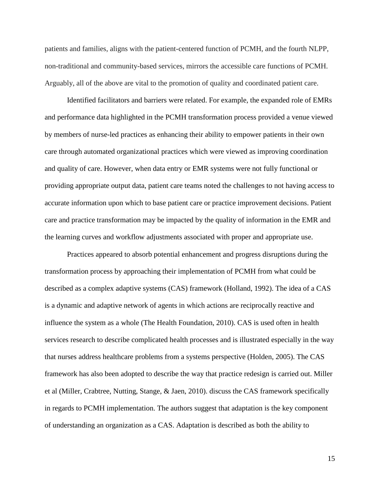patients and families, aligns with the patient-centered function of PCMH, and the fourth NLPP, non-traditional and community-based services, mirrors the accessible care functions of PCMH. Arguably, all of the above are vital to the promotion of quality and coordinated patient care.

Identified facilitators and barriers were related. For example, the expanded role of EMRs and performance data highlighted in the PCMH transformation process provided a venue viewed by members of nurse-led practices as enhancing their ability to empower patients in their own care through automated organizational practices which were viewed as improving coordination and quality of care. However, when data entry or EMR systems were not fully functional or providing appropriate output data, patient care teams noted the challenges to not having access to accurate information upon which to base patient care or practice improvement decisions. Patient care and practice transformation may be impacted by the quality of information in the EMR and the learning curves and workflow adjustments associated with proper and appropriate use.

Practices appeared to absorb potential enhancement and progress disruptions during the transformation process by approaching their implementation of PCMH from what could be described as a complex adaptive systems (CAS) framework (Holland, 1992). The idea of a CAS is a dynamic and adaptive network of agents in which actions are reciprocally reactive and influence the system as a whole (The Health Foundation, 2010). CAS is used often in health services research to describe complicated health processes and is illustrated especially in the way that nurses address healthcare problems from a systems perspective (Holden, 2005). The CAS framework has also been adopted to describe the way that practice redesign is carried out. Miller et al (Miller, Crabtree, Nutting, Stange, & Jaen, 2010). discuss the CAS framework specifically in regards to PCMH implementation. The authors suggest that adaptation is the key component of understanding an organization as a CAS. Adaptation is described as both the ability to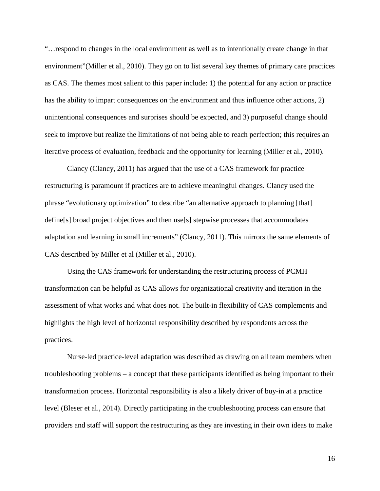"…respond to changes in the local environment as well as to intentionally create change in that environment"(Miller et al., 2010). They go on to list several key themes of primary care practices as CAS. The themes most salient to this paper include: 1) the potential for any action or practice has the ability to impart consequences on the environment and thus influence other actions, 2) unintentional consequences and surprises should be expected, and 3) purposeful change should seek to improve but realize the limitations of not being able to reach perfection; this requires an iterative process of evaluation, feedback and the opportunity for learning (Miller et al., 2010).

Clancy (Clancy, 2011) has argued that the use of a CAS framework for practice restructuring is paramount if practices are to achieve meaningful changes. Clancy used the phrase "evolutionary optimization" to describe "an alternative approach to planning [that] define[s] broad project objectives and then use[s] stepwise processes that accommodates adaptation and learning in small increments" (Clancy, 2011). This mirrors the same elements of CAS described by Miller et al (Miller et al., 2010).

Using the CAS framework for understanding the restructuring process of PCMH transformation can be helpful as CAS allows for organizational creativity and iteration in the assessment of what works and what does not. The built-in flexibility of CAS complements and highlights the high level of horizontal responsibility described by respondents across the practices.

Nurse-led practice-level adaptation was described as drawing on all team members when troubleshooting problems – a concept that these participants identified as being important to their transformation process. Horizontal responsibility is also a likely driver of buy-in at a practice level (Bleser et al., 2014). Directly participating in the troubleshooting process can ensure that providers and staff will support the restructuring as they are investing in their own ideas to make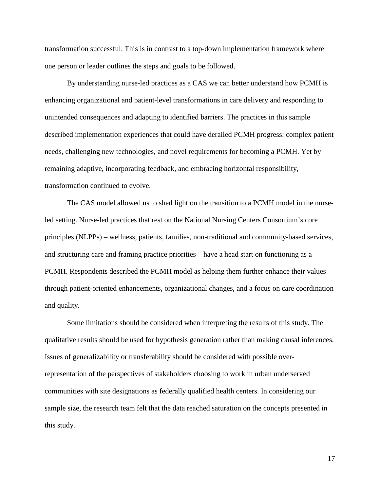transformation successful. This is in contrast to a top-down implementation framework where one person or leader outlines the steps and goals to be followed.

By understanding nurse-led practices as a CAS we can better understand how PCMH is enhancing organizational and patient-level transformations in care delivery and responding to unintended consequences and adapting to identified barriers. The practices in this sample described implementation experiences that could have derailed PCMH progress: complex patient needs, challenging new technologies, and novel requirements for becoming a PCMH. Yet by remaining adaptive, incorporating feedback, and embracing horizontal responsibility, transformation continued to evolve.

The CAS model allowed us to shed light on the transition to a PCMH model in the nurseled setting. Nurse-led practices that rest on the National Nursing Centers Consortium's core principles (NLPPs) – wellness, patients, families, non-traditional and community-based services, and structuring care and framing practice priorities – have a head start on functioning as a PCMH. Respondents described the PCMH model as helping them further enhance their values through patient-oriented enhancements, organizational changes, and a focus on care coordination and quality.

Some limitations should be considered when interpreting the results of this study. The qualitative results should be used for hypothesis generation rather than making causal inferences. Issues of generalizability or transferability should be considered with possible overrepresentation of the perspectives of stakeholders choosing to work in urban underserved communities with site designations as federally qualified health centers. In considering our sample size, the research team felt that the data reached saturation on the concepts presented in this study.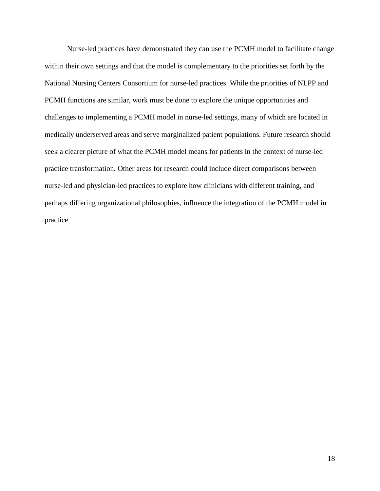Nurse-led practices have demonstrated they can use the PCMH model to facilitate change within their own settings and that the model is complementary to the priorities set forth by the National Nursing Centers Consortium for nurse-led practices. While the priorities of NLPP and PCMH functions are similar, work must be done to explore the unique opportunities and challenges to implementing a PCMH model in nurse-led settings, many of which are located in medically underserved areas and serve marginalized patient populations. Future research should seek a clearer picture of what the PCMH model means for patients in the context of nurse-led practice transformation. Other areas for research could include direct comparisons between nurse-led and physician-led practices to explore how clinicians with different training, and perhaps differing organizational philosophies, influence the integration of the PCMH model in practice.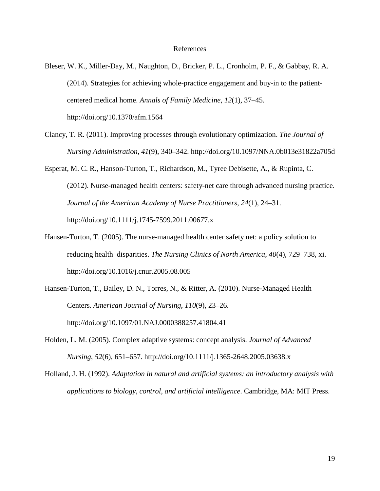#### References

- Bleser, W. K., Miller-Day, M., Naughton, D., Bricker, P. L., Cronholm, P. F., & Gabbay, R. A. (2014). Strategies for achieving whole-practice engagement and buy-in to the patientcentered medical home. *Annals of Family Medicine*, *12*(1), 37–45. http://doi.org/10.1370/afm.1564
- Clancy, T. R. (2011). Improving processes through evolutionary optimization. *The Journal of Nursing Administration*, *41*(9), 340–342. http://doi.org/10.1097/NNA.0b013e31822a705d
- Esperat, M. C. R., Hanson-Turton, T., Richardson, M., Tyree Debisette, A., & Rupinta, C. (2012). Nurse-managed health centers: safety-net care through advanced nursing practice. *Journal of the American Academy of Nurse Practitioners*, *24*(1), 24–31. http://doi.org/10.1111/j.1745-7599.2011.00677.x
- Hansen-Turton, T. (2005). The nurse-managed health center safety net: a policy solution to reducing health disparities. *The Nursing Clinics of North America*, *40*(4), 729–738, xi. http://doi.org/10.1016/j.cnur.2005.08.005
- Hansen-Turton, T., Bailey, D. N., Torres, N., & Ritter, A. (2010). Nurse-Managed Health Centers. *American Journal of Nursing*, *110*(9), 23–26. http://doi.org/10.1097/01.NAJ.0000388257.41804.41
- Holden, L. M. (2005). Complex adaptive systems: concept analysis. *Journal of Advanced Nursing*, *52*(6), 651–657. http://doi.org/10.1111/j.1365-2648.2005.03638.x
- Holland, J. H. (1992). *Adaptation in natural and artificial systems: an introductory analysis with applications to biology, control, and artificial intelligence*. Cambridge, MA: MIT Press.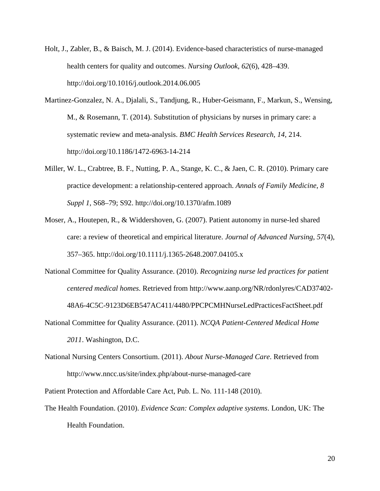- Holt, J., Zabler, B., & Baisch, M. J. (2014). Evidence-based characteristics of nurse-managed health centers for quality and outcomes. *Nursing Outlook*, *62*(6), 428–439. http://doi.org/10.1016/j.outlook.2014.06.005
- Martinez-Gonzalez, N. A., Djalali, S., Tandjung, R., Huber-Geismann, F., Markun, S., Wensing, M., & Rosemann, T. (2014). Substitution of physicians by nurses in primary care: a systematic review and meta-analysis. *BMC Health Services Research*, *14*, 214. http://doi.org/10.1186/1472-6963-14-214
- Miller, W. L., Crabtree, B. F., Nutting, P. A., Stange, K. C., & Jaen, C. R. (2010). Primary care practice development: a relationship-centered approach. *Annals of Family Medicine*, *8 Suppl 1*, S68–79; S92. http://doi.org/10.1370/afm.1089
- Moser, A., Houtepen, R., & Widdershoven, G. (2007). Patient autonomy in nurse-led shared care: a review of theoretical and empirical literature. *Journal of Advanced Nursing*, *57*(4), 357–365. http://doi.org/10.1111/j.1365-2648.2007.04105.x
- National Committee for Quality Assurance. (2010). *Recognizing nurse led practices for patient centered medical homes*. Retrieved from http://www.aanp.org/NR/rdonlyres/CAD37402- 48A6-4C5C-9123D6EB547AC411/4480/PPCPCMHNurseLedPracticesFactSheet.pdf
- National Committee for Quality Assurance. (2011). *NCQA Patient-Centered Medical Home 2011*. Washington, D.C.
- National Nursing Centers Consortium. (2011). *About Nurse-Managed Care*. Retrieved from http://www.nncc.us/site/index.php/about-nurse-managed-care

Patient Protection and Affordable Care Act, Pub. L. No. 111-148 (2010).

The Health Foundation. (2010). *Evidence Scan: Complex adaptive systems*. London, UK: The Health Foundation.